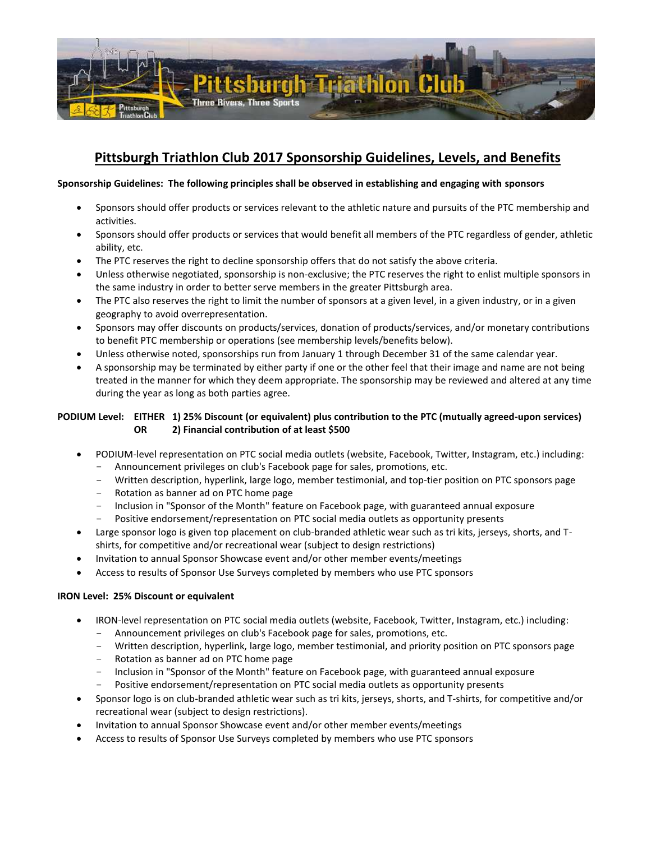

# **Pittsburgh Triathlon Club 2017 Sponsorship Guidelines, Levels, and Benefits**

# **Sponsorship Guidelines: The following principles shall be observed in establishing and engaging with sponsors**

- Sponsors should offer products or services relevant to the athletic nature and pursuits of the PTC membership and activities.
- Sponsors should offer products or services that would benefit all members of the PTC regardless of gender, athletic ability, etc.
- The PTC reserves the right to decline sponsorship offers that do not satisfy the above criteria.
- Unless otherwise negotiated, sponsorship is non-exclusive; the PTC reserves the right to enlist multiple sponsors in the same industry in order to better serve members in the greater Pittsburgh area.
- The PTC also reserves the right to limit the number of sponsors at a given level, in a given industry, or in a given geography to avoid overrepresentation.
- Sponsors may offer discounts on products/services, donation of products/services, and/or monetary contributions to benefit PTC membership or operations (see membership levels/benefits below).
- Unless otherwise noted, sponsorships run from January 1 through December 31 of the same calendar year.
- A sponsorship may be terminated by either party if one or the other feel that their image and name are not being treated in the manner for which they deem appropriate. The sponsorship may be reviewed and altered at any time during the year as long as both parties agree.

# **PODIUM Level: EITHER 1) 25% Discount (or equivalent) plus contribution to the PTC (mutually agreed-upon services) OR 2) Financial contribution of at least \$500**

- PODIUM-level representation on PTC social media outlets (website, Facebook, Twitter, Instagram, etc.) including:
	- Announcement privileges on club's Facebook page for sales, promotions, etc.
	- Written description, hyperlink, large logo, member testimonial, and top-tier position on PTC sponsors page
	- Rotation as banner ad on PTC home page
	- Inclusion in "Sponsor of the Month" feature on Facebook page, with guaranteed annual exposure
	- Positive endorsement/representation on PTC social media outlets as opportunity presents
- Large sponsor logo is given top placement on club-branded athletic wear such as tri kits, jerseys, shorts, and Tshirts, for competitive and/or recreational wear (subject to design restrictions)
- Invitation to annual Sponsor Showcase event and/or other member events/meetings
- Access to results of Sponsor Use Surveys completed by members who use PTC sponsors

## **IRON Level: 25% Discount or equivalent**

- IRON-level representation on PTC social media outlets (website, Facebook, Twitter, Instagram, etc.) including:
	- Announcement privileges on club's Facebook page for sales, promotions, etc.
	- Written description, hyperlink, large logo, member testimonial, and priority position on PTC sponsors page
	- Rotation as banner ad on PTC home page
	- Inclusion in "Sponsor of the Month" feature on Facebook page, with guaranteed annual exposure Positive endorsement/representation on PTC social media outlets as opportunity presents
- Sponsor logo is on club-branded athletic wear such as tri kits, jerseys, shorts, and T-shirts, for competitive and/or recreational wear (subject to design restrictions).
- Invitation to annual Sponsor Showcase event and/or other member events/meetings
- Access to results of Sponsor Use Surveys completed by members who use PTC sponsors